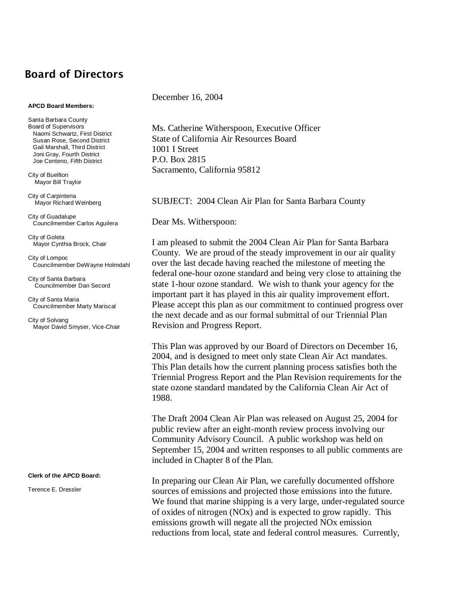## **Board of Directors**

## **APCD Board Members:**

Santa Barbara County Board of Supervisors Naomi Schwartz, First District Susan Rose, Second District Gail Marshall, Third District Joni Gray, Fourth District Joe Centeno, Fifth District

City of Buellton Mayor Bill Traylor

City of Carpinteria Mayor Richard Weinberg

City of Guadalupe Councilmember Carlos Aguilera

City of Goleta Mayor Cynthia Brock, Chair

City of Lompoc Councilmember DeWayne Holmdahl

City of Santa Barbara Councilmember Dan Secord

City of Santa Maria Councilmember Marty Mariscal

City of Solvang Mayor David Smyser, Vice-Chair

## **Clerk of the APCD Board:**

Terence E. Dressler

December 16, 2004

Ms. Catherine Witherspoon, Executive Officer State of California Air Resources Board 1001 I Street P.O. Box 2815 Sacramento, California 95812

SUBJECT: 2004 Clean Air Plan for Santa Barbara County

Dear Ms. Witherspoon:

I am pleased to submit the 2004 Clean Air Plan for Santa Barbara County. We are proud of the steady improvement in our air quality over the last decade having reached the milestone of meeting the federal one-hour ozone standard and being very close to attaining the state 1-hour ozone standard. We wish to thank your agency for the important part it has played in this air quality improvement effort. Please accept this plan as our commitment to continued progress over the next decade and as our formal submittal of our Triennial Plan Revision and Progress Report.

This Plan was approved by our Board of Directors on December 16, 2004, and is designed to meet only state Clean Air Act mandates. This Plan details how the current planning process satisfies both the Triennial Progress Report and the Plan Revision requirements for the state ozone standard mandated by the California Clean Air Act of 1988.

The Draft 2004 Clean Air Plan was released on August 25, 2004 for public review after an eight-month review process involving our Community Advisory Council. A public workshop was held on September 15, 2004 and written responses to all public comments are included in Chapter 8 of the Plan.

In preparing our Clean Air Plan, we carefully documented offshore sources of emissions and projected those emissions into the future. We found that marine shipping is a very large, under-regulated source of oxides of nitrogen (NOx) and is expected to grow rapidly. This emissions growth will negate all the projected NOx emission reductions from local, state and federal control measures. Currently,